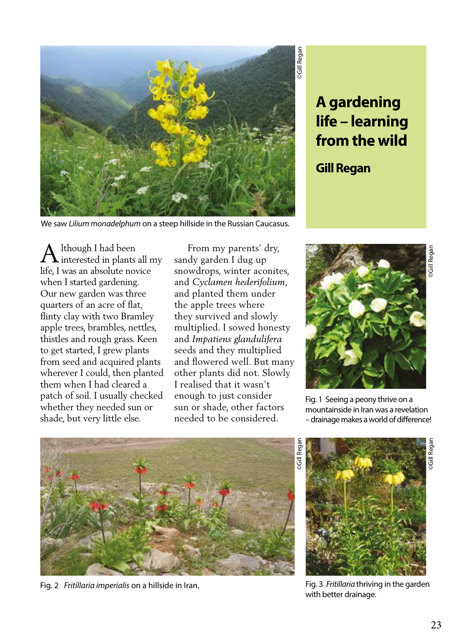

## **A gardening life – learning from the wild**

## **Gill Regan**

We saw *Lilium monadelphum* on a steep hillside in the Russian Caucasus.

lthough I had been  $\Box$  interested in plants all my life, I was an absolute novice when I started gardening. Our new garden was three quarters of an acre of flat, flinty clay with two Bramley apple trees, brambles, nettles, thistles and rough grass. Keen to get started, I grew plants from seed and acquired plants wherever I could, then planted them when I had cleared a patch of soil. I usually checked whether they needed sun or shade, but very little else. A

 From my parents' dry, sandy garden I dug up snowdrops, winter aconites, and *Cyclamen hederifolium*, and planted them under the apple trees where they survived and slowly multiplied. I sowed honesty and *Impatiens glandulifera* seeds and they multiplied and flowered well. But many other plants did not. Slowly I realised that it wasn't enough to just consider sun or shade, other factors needed to be considered.



Fig. 1 Seeing a peony thrive on a mountainside in Iran was a revelation – drainage makes a world of difference!



Fig. 2 *Fritillaria imperialis* on a hillside in Iran.

©Gill Regan ©Gill Regan **Gill** Regar

Fig. 3 *Fritillaria* thriving in the garden with better drainage.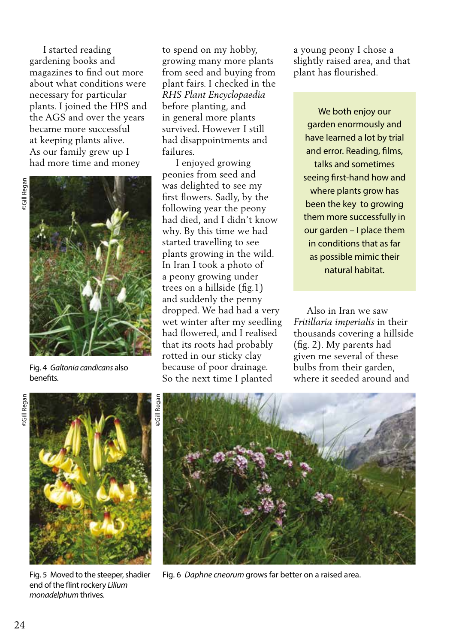I started reading gardening books and magazines to find out more about what conditions were necessary for particular plants. I joined the HPS and the AGS and over the years became more successful at keeping plants alive. As our family grew up I had more time and money



Fig. 4 *Galtonia candicans* also benefits.

to spend on my hobby, growing many more plants from seed and buying from plant fairs. I checked in the *RHS Plant Encyclopaedia*  before planting, and in general more plants survived. However I still had disappointments and failures.

 I enjoyed growing peonies from seed and was delighted to see my first flowers. Sadly, by the following year the peony had died, and I didn't know why. By this time we had started travelling to see plants growing in the wild. In Iran I took a photo of a peony growing under trees on a hillside (fig.1) and suddenly the penny dropped. We had had a very wet winter after my seedling had flowered, and I realised that its roots had probably rotted in our sticky clay because of poor drainage. So the next time I planted

a young peony I chose a slightly raised area, and that plant has flourished.

We both enjoy our garden enormously and have learned a lot by trial and error. Reading, films, talks and sometimes seeing first-hand how and where plants grow has been the key to growing them more successfully in our garden – I place them in conditions that as far as possible mimic their natural habitat.

 Also in Iran we saw *Fritillaria imperialis* in their thousands covering a hillside (fig. 2). My parents had given me several of these bulbs from their garden, where it seeded around and



Fig. 5 Moved to the steeper, shadier end of the flint rockery *Lilium monadelphum* thrives.



Fig. 6 *Daphne cneorum* grows far better on a raised area.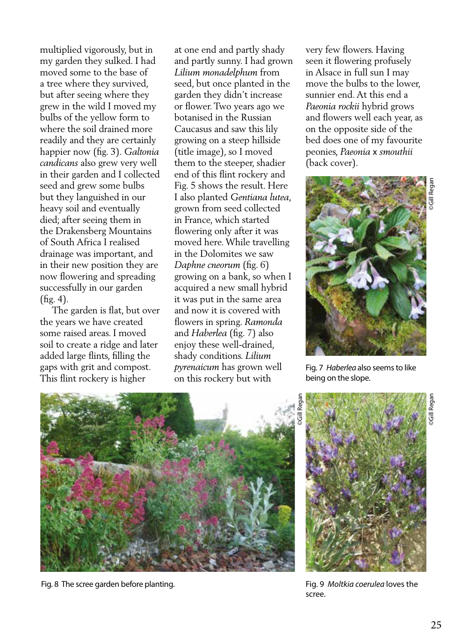multiplied vigorously, but in my garden they sulked. I had moved some to the base of a tree where they survived, but after seeing where they grew in the wild I moved my bulbs of the yellow form to where the soil drained more readily and they are certainly happier now (fig. 3). *Galtonia candicans* also grew very well in their garden and I collected seed and grew some bulbs but they languished in our heavy soil and eventually died; after seeing them in the Drakensberg Mountains of South Africa I realised drainage was important, and in their new position they are now flowering and spreading successfully in our garden (fig. 4).

 The garden is flat, but over the years we have created some raised areas. I moved soil to create a ridge and later added large flints, filling the gaps with grit and compost. This flint rockery is higher

at one end and partly shady and partly sunny. I had grown *Lilium monadelphum* from seed, but once planted in the garden they didn't increase or flower. Two years ago we botanised in the Russian Caucasus and saw this lily growing on a steep hillside (title image), so I moved them to the steeper, shadier end of this flint rockery and Fig. 5 shows the result. Here I also planted *Gentiana lutea*, grown from seed collected in France, which started flowering only after it was moved here. While travelling in the Dolomites we saw *Daphne cneorum* (fig. 6) growing on a bank, so when I acquired a new small hybrid it was put in the same area and now it is covered with flowers in spring. *Ramonda*  and *Haberlea* (fig. 7) also enjoy these well-drained, shady conditions. *Lilium pyrenaicum* has grown well on this rockery but with

very few flowers. Having seen it flowering profusely in Alsace in full sun I may move the bulbs to the lower, sunnier end. At this end a *Paeonia rockii* hybrid grows and flowers well each year, as on the opposite side of the bed does one of my favourite peonies, *Paeonia* x *smouthii*  (back cover).



Fig. 7 *Haberlea* also seems to like being on the slope.



Fig. 8 The scree garden before planting.



Fig. 9 *Moltkia coerulea* loves the scree.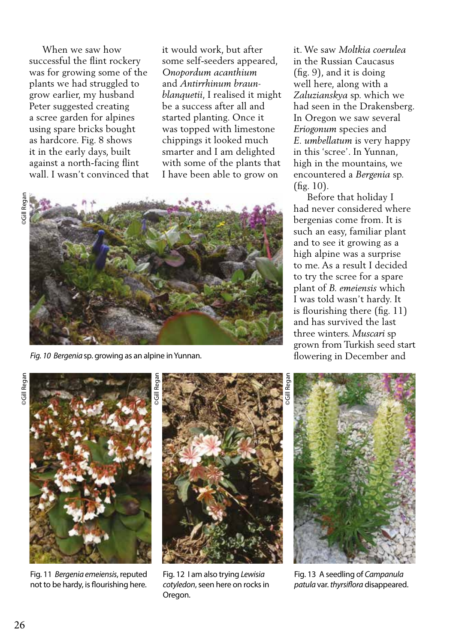When we saw how successful the flint rockery was for growing some of the plants we had struggled to grow earlier, my husband Peter suggested creating a scree garden for alpines using spare bricks bought as hardcore. Fig. 8 shows it in the early days, built against a north-facing flint wall. I wasn't convinced that it would work, but after some self-seeders appeared, *Onopordum acanthium* and *Antirrhinum braunblanquetii*, I realised it might be a success after all and started planting. Once it was topped with limestone chippings it looked much smarter and I am delighted with some of the plants that I have been able to grow on





*Fig. 10 Bergenia* sp. growing as an alpine in Yunnan.

it. We saw *Moltkia coerulea* in the Russian Caucasus (fig. 9), and it is doing well here, along with a *Zaluzianskya* sp. which we had seen in the Drakensberg. In Oregon we saw several *Eriogonum* species and *E. umbellatum* is very happy in this 'scree'. In Yunnan, high in the mountains, we encountered a *Bergenia* sp. (fig. 10).

 Before that holiday I had never considered where bergenias come from. It is such an easy, familiar plant and to see it growing as a high alpine was a surprise to me. As a result I decided to try the scree for a spare plant of *B. emeiensis* which I was told wasn't hardy. It is flourishing there (fig. 11) and has survived the last three winters. *Muscari* sp grown from Turkish seed start flowering in December and



Fig. 11 *Bergenia emeiensis*, reputed not to be hardy, is flourishing here.



Fig. 12 I am also trying *Lewisia cotyledon*, seen here on rocks in Oregon.



Fig. 13 A seedling of *Campanula patula* var. *thyrsiflora* disappeared.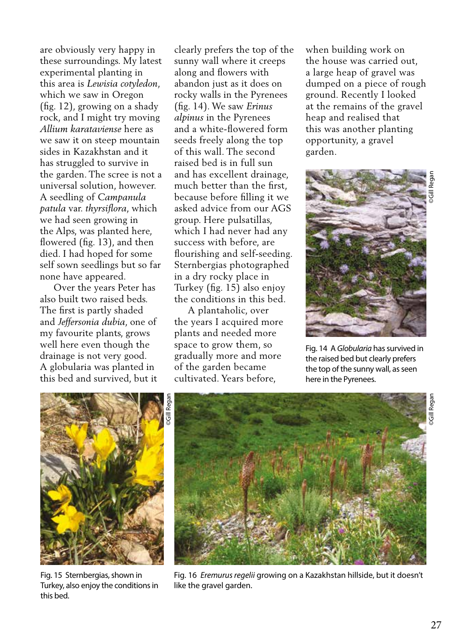are obviously very happy in these surroundings. My latest experimental planting in this area is *Lewisia cotyledon*, which we saw in Oregon (fig. 12), growing on a shady rock, and I might try moving *Allium karataviense* here as we saw it on steep mountain sides in Kazakhstan and it has struggled to survive in the garden. The scree is not a universal solution, however. A seedling of *Campanula patula* var. *thyrsiflora*, which we had seen growing in the Alps, was planted here, flowered (fig. 13), and then died. I had hoped for some self sown seedlings but so far none have appeared.

 Over the years Peter has also built two raised beds. The first is partly shaded and *Jeffersonia dubia*, one of my favourite plants, grows well here even though the drainage is not very good. A globularia was planted in this bed and survived, but it clearly prefers the top of the sunny wall where it creeps along and flowers with abandon just as it does on rocky walls in the Pyrenees (fig. 14). We saw *Erinus alpinus* in the Pyrenees and a white-flowered form seeds freely along the top of this wall. The second raised bed is in full sun and has excellent drainage, much better than the first, because before filling it we asked advice from our AGS group. Here pulsatillas, which I had never had any success with before, are flourishing and self-seeding. Sternbergias photographed in a dry rocky place in Turkey (fig. 15) also enjoy the conditions in this bed.

 A plantaholic, over the years I acquired more plants and needed more space to grow them, so gradually more and more of the garden became cultivated. Years before,

when building work on the house was carried out, a large heap of gravel was dumped on a piece of rough ground. Recently I looked at the remains of the gravel heap and realised that this was another planting opportunity, a gravel garden.



Fig. 14 A *Globularia* has survived in the raised bed but clearly prefers the top of the sunny wall, as seen here in the Pyrenees.



Fig. 15 Sternbergias, shown in Turkey, also enjoy the conditions in this bed.



Fig. 16 *Eremurus regelii* growing on a Kazakhstan hillside, but it doesn't like the gravel garden.

©Gill Regan

**SGill Rega**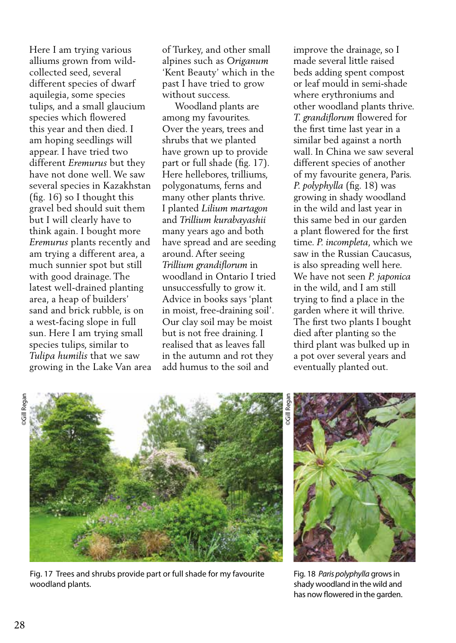Here I am trying various alliums grown from wildcollected seed, several different species of dwarf aquilegia, some species tulips, and a small glaucium species which flowered this year and then died. I am hoping seedlings will appear. I have tried two different *Eremurus* but they have not done well. We saw several species in Kazakhstan (fig. 16) so I thought this gravel bed should suit them but I will clearly have to think again. I bought more *Eremurus* plants recently and am trying a different area, a much sunnier spot but still with good drainage. The latest well-drained planting area, a heap of builders' sand and brick rubble, is on a west-facing slope in full sun. Here I am trying small species tulips, similar to *Tulipa humilis* that we saw growing in the Lake Van area of Turkey, and other small alpines such as *Origanum*  'Kent Beauty' which in the past I have tried to grow without success.

 Woodland plants are among my favourites. Over the years, trees and shrubs that we planted have grown up to provide part or full shade (fig. 17). Here hellebores, trilliums, polygonatums, ferns and many other plants thrive. I planted *Lilium martagon*  and *Trillium kurabayashii*  many years ago and both have spread and are seeding around. After seeing *Trillium grandiflorum* in woodland in Ontario I tried unsuccessfully to grow it. Advice in books says 'plant in moist, free-draining soil'. Our clay soil may be moist but is not free draining. I realised that as leaves fall in the autumn and rot they add humus to the soil and

improve the drainage, so I made several little raised beds adding spent compost or leaf mould in semi-shade where erythroniums and other woodland plants thrive. *T. grandiflorum* flowered for the first time last year in a similar bed against a north wall. In China we saw several different species of another of my favourite genera, Paris. *P. polyphylla* (fig. 18) was growing in shady woodland in the wild and last year in this same bed in our garden a plant flowered for the first time. *P. incompleta*, which we saw in the Russian Caucasus, is also spreading well here. We have not seen *P. japonica*  in the wild, and I am still trying to find a place in the garden where it will thrive. The first two plants I bought died after planting so the third plant was bulked up in a pot over several years and eventually planted out.



Fig. 17 Trees and shrubs provide part or full shade for my favourite woodland plants.

Fig. 18 *Paris polyphylla* grows in shady woodland in the wild and has now flowered in the garden.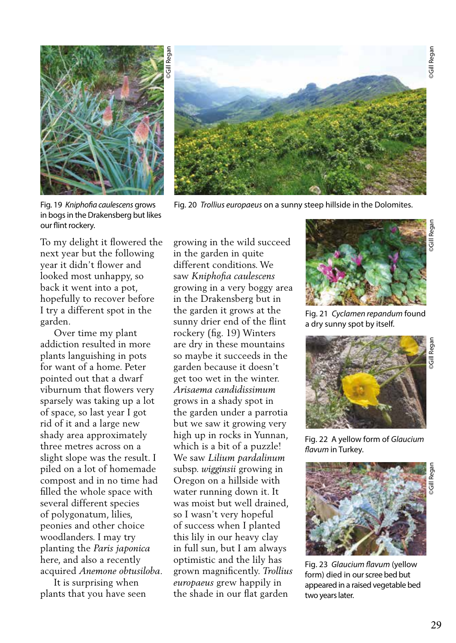



Fig. 20 *Trollius europaeus* on a sunny steep hillside in the Dolomites.

Fig. 19 *Kniphofia caulescens* grows in bogs in the Drakensberg but likes our flint rockery.

To my delight it flowered the next year but the following year it didn't flower and looked most unhappy, so back it went into a pot, hopefully to recover before I try a different spot in the garden.

 Over time my plant addiction resulted in more plants languishing in pots for want of a home. Peter pointed out that a dwarf viburnum that flowers very sparsely was taking up a lot of space, so last year I got rid of it and a large new shady area approximately three metres across on a slight slope was the result. I piled on a lot of homemade compost and in no time had filled the whole space with several different species of polygonatum, lilies, peonies and other choice woodlanders. I may try planting the *Paris japonica*  here, and also a recently acquired *Anemone obtusiloba.*

 It is surprising when plants that you have seen growing in the wild succeed in the garden in quite different conditions. We saw *Kniphofia caulescens* growing in a very boggy area in the Drakensberg but in the garden it grows at the sunny drier end of the flint rockery (fig. 19) Winters are dry in these mountains so maybe it succeeds in the garden because it doesn't get too wet in the winter. *Arisaema candidissimum*  grows in a shady spot in the garden under a parrotia but we saw it growing very high up in rocks in Yunnan, which is a bit of a puzzle! We saw *Lilium pardalinum* subsp. *wigginsii* growing in Oregon on a hillside with water running down it. It was moist but well drained, so I wasn't very hopeful of success when I planted this lily in our heavy clay in full sun, but I am always optimistic and the lily has grown magnificently. *Trollius europaeus* grew happily in the shade in our flat garden



Fig. 21 *Cyclamen repandum* found a dry sunny spot by itself.



Fig. 22 A yellow form of *Glaucium flavum* in Turkey*.*



Fig. 23 *Glaucium flavum* (yellow form) died in our scree bed but appeared in a raised vegetable bed two years later.